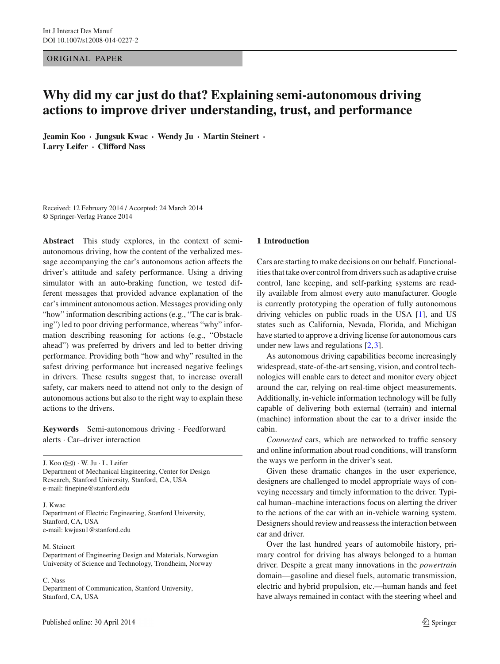ORIGINAL PAPER

# **Why did my car just do that? Explaining semi-autonomous driving actions to improve driver understanding, trust, and performance**

**Jeamin Koo** · **Jungsuk Kwac** · **Wendy Ju** · **Martin Steinert** · **Larry Leifer** · **Clifford Nass**

Received: 12 February 2014 / Accepted: 24 March 2014 © Springer-Verlag France 2014

**Abstract** This study explores, in the context of semiautonomous driving, how the content of the verbalized message accompanying the car's autonomous action affects the driver's attitude and safety performance. Using a driving simulator with an auto-braking function, we tested different messages that provided advance explanation of the car's imminent autonomous action. Messages providing only "how" information describing actions (e.g., "The car is braking") led to poor driving performance, whereas "why" information describing reasoning for actions (e.g., "Obstacle ahead") was preferred by drivers and led to better driving performance. Providing both "how and why" resulted in the safest driving performance but increased negative feelings in drivers. These results suggest that, to increase overall safety, car makers need to attend not only to the design of autonomous actions but also to the right way to explain these actions to the drivers.

**Keywords** Semi-autonomous driving · Feedforward alerts · Car–driver interaction

J. Koo (B) · W. Ju · L. Leifer Department of Mechanical Engineering, Center for Design Research, Stanford University, Stanford, CA, USA e-mail: finepine@stanford.edu

J. Kwac

Department of Electric Engineering, Stanford University, Stanford, CA, USA e-mail: kwjusu1@stanford.edu

#### M. Steinert

Department of Engineering Design and Materials, Norwegian University of Science and Technology, Trondheim, Norway

#### C. Nass

Department of Communication, Stanford University, Stanford, CA, USA

#### **1 Introduction**

Cars are starting to make decisions on our behalf. Functionalities that take over control from drivers such as adaptive cruise control, lane keeping, and self-parking systems are readily available from almost every auto manufacturer. Google is currently prototyping the operation of fully autonomous driving vehicles on public roads in the USA [\[1](#page-6-0)], and US states such as California, Nevada, Florida, and Michigan have started to approve a driving license for autonomous cars under new laws and regulations [\[2,](#page-6-1)[3\]](#page-6-2).

As autonomous driving capabilities become increasingly widespread, state-of-the-art sensing, vision, and control technologies will enable cars to detect and monitor every object around the car, relying on real-time object measurements. Additionally, in-vehicle information technology will be fully capable of delivering both external (terrain) and internal (machine) information about the car to a driver inside the cabin.

*Connected* cars, which are networked to traffic sensory and online information about road conditions, will transform the ways we perform in the driver's seat.

Given these dramatic changes in the user experience, designers are challenged to model appropriate ways of conveying necessary and timely information to the driver. Typical human–machine interactions focus on alerting the driver to the actions of the car with an in-vehicle warning system. Designers should review and reassess the interaction between car and driver.

Over the last hundred years of automobile history, primary control for driving has always belonged to a human driver. Despite a great many innovations in the *powertrain* domain—gasoline and diesel fuels, automatic transmission, electric and hybrid propulsion, etc.—human hands and feet have always remained in contact with the steering wheel and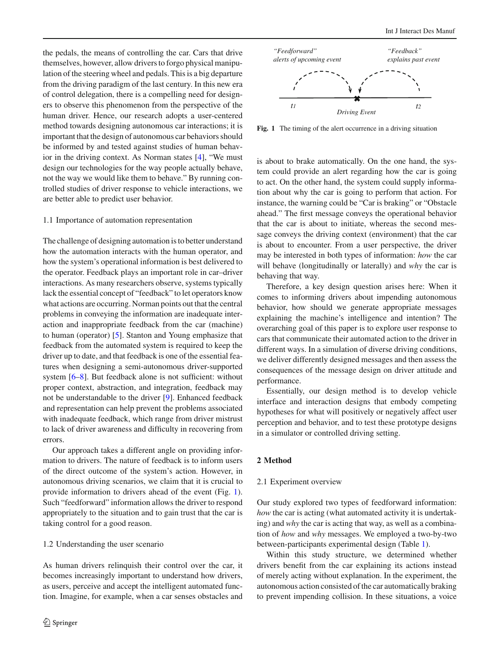the pedals, the means of controlling the car. Cars that drive themselves, however, allow drivers to forgo physical manipulation of the steering wheel and pedals. This is a big departure from the driving paradigm of the last century. In this new era of control delegation, there is a compelling need for designers to observe this phenomenon from the perspective of the human driver. Hence, our research adopts a user-centered method towards designing autonomous car interactions; it is important that the design of autonomous car behaviors should be informed by and tested against studies of human behavior in the driving context. As Norman states [\[4](#page-6-3)], "We must design our technologies for the way people actually behave, not the way we would like them to behave." By running controlled studies of driver response to vehicle interactions, we are better able to predict user behavior.

## 1.1 Importance of automation representation

The challenge of designing automation is to better understand how the automation interacts with the human operator, and how the system's operational information is best delivered to the operator. Feedback plays an important role in car–driver interactions. As many researchers observe, systems typically lack the essential concept of "feedback" to let operators know what actions are occurring. Norman points out that the central problems in conveying the information are inadequate interaction and inappropriate feedback from the car (machine) to human (operator) [\[5](#page-6-4)]. Stanton and Young emphasize that feedback from the automated system is required to keep the driver up to date, and that feedback is one of the essential features when designing a semi-autonomous driver-supported system [\[6](#page-6-5)[–8](#page-6-6)]. But feedback alone is not sufficient: without proper context, abstraction, and integration, feedback may not be understandable to the driver [\[9](#page-6-7)]. Enhanced feedback and representation can help prevent the problems associated with inadequate feedback, which range from driver mistrust to lack of driver awareness and difficulty in recovering from errors.

Our approach takes a different angle on providing information to drivers. The nature of feedback is to inform users of the direct outcome of the system's action. However, in autonomous driving scenarios, we claim that it is crucial to provide information to drivers ahead of the event (Fig. [1\)](#page-1-0). Such "feedforward" information allows the driver to respond appropriately to the situation and to gain trust that the car is taking control for a good reason.

# 1.2 Understanding the user scenario

As human drivers relinquish their control over the car, it becomes increasingly important to understand how drivers, as users, perceive and accept the intelligent automated function. Imagine, for example, when a car senses obstacles and



<span id="page-1-0"></span>**Fig. 1** The timing of the alert occurrence in a driving situation

is about to brake automatically. On the one hand, the system could provide an alert regarding how the car is going to act. On the other hand, the system could supply information about why the car is going to perform that action. For instance, the warning could be "Car is braking" or "Obstacle ahead." The first message conveys the operational behavior that the car is about to initiate, whereas the second message conveys the driving context (environment) that the car is about to encounter. From a user perspective, the driver may be interested in both types of information: *how* the car will behave (longitudinally or laterally) and *why* the car is behaving that way.

Therefore, a key design question arises here: When it comes to informing drivers about impending autonomous behavior, how should we generate appropriate messages explaining the machine's intelligence and intention? The overarching goal of this paper is to explore user response to cars that communicate their automated action to the driver in different ways. In a simulation of diverse driving conditions, we deliver differently designed messages and then assess the consequences of the message design on driver attitude and performance.

Essentially, our design method is to develop vehicle interface and interaction designs that embody competing hypotheses for what will positively or negatively affect user perception and behavior, and to test these prototype designs in a simulator or controlled driving setting.

# **2 Method**

#### 2.1 Experiment overview

Our study explored two types of feedforward information: *how* the car is acting (what automated activity it is undertaking) and *why* the car is acting that way, as well as a combination of *how* and *why* messages. We employed a two-by-two between-participants experimental design (Table [1\)](#page-2-0).

Within this study structure, we determined whether drivers benefit from the car explaining its actions instead of merely acting without explanation. In the experiment, the autonomous action consisted of the car automatically braking to prevent impending collision. In these situations, a voice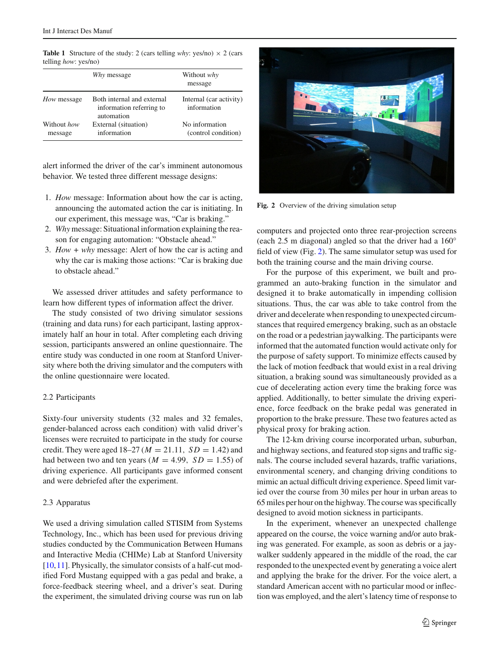|                        | Why message                                                          | Without <i>why</i><br>message          |
|------------------------|----------------------------------------------------------------------|----------------------------------------|
| How message            | Both internal and external<br>information referring to<br>automation | Internal (car activity)<br>information |
| Without how<br>message | External (situation)<br>information                                  | No information<br>(control condition)  |

<span id="page-2-0"></span>**Table 1** Structure of the study: 2 (cars telling *why*: yes/no)  $\times$  2 (cars telling *how*: yes/no)

alert informed the driver of the car's imminent autonomous behavior. We tested three different message designs:

- 1. *How* message: Information about how the car is acting, announcing the automated action the car is initiating. In our experiment, this message was, "Car is braking."
- 2. *Why*message: Situational information explaining the reason for engaging automation: "Obstacle ahead."
- 3. *How + why* message: Alert of how the car is acting and why the car is making those actions: "Car is braking due to obstacle ahead."

We assessed driver attitudes and safety performance to learn how different types of information affect the driver.

The study consisted of two driving simulator sessions (training and data runs) for each participant, lasting approximately half an hour in total. After completing each driving session, participants answered an online questionnaire. The entire study was conducted in one room at Stanford University where both the driving simulator and the computers with the online questionnaire were located.

## 2.2 Participants

Sixty-four university students (32 males and 32 females, gender-balanced across each condition) with valid driver's licenses were recruited to participate in the study for course credit. They were aged  $18-27 (M = 21.11, SD = 1.42)$  and had between two and ten years ( $M = 4.99$ ,  $SD = 1.55$ ) of driving experience. All participants gave informed consent and were debriefed after the experiment.

# 2.3 Apparatus

We used a driving simulation called STISIM from Systems Technology, Inc., which has been used for previous driving studies conducted by the Communication Between Humans and Interactive Media (CHIMe) Lab at Stanford University [\[10](#page-6-8),[11\]](#page-6-9). Physically, the simulator consists of a half-cut modified Ford Mustang equipped with a gas pedal and brake, a force-feedback steering wheel, and a driver's seat. During the experiment, the simulated driving course was run on lab



Fig. 2 Overview of the driving simulation setup

<span id="page-2-1"></span>computers and projected onto three rear-projection screens (each 2.5 m diagonal) angled so that the driver had a 160◦ field of view (Fig. [2\)](#page-2-1). The same simulator setup was used for both the training course and the main driving course.

For the purpose of this experiment, we built and programmed an auto-braking function in the simulator and designed it to brake automatically in impending collision situations. Thus, the car was able to take control from the driver and decelerate when responding to unexpected circumstances that required emergency braking, such as an obstacle on the road or a pedestrian jaywalking. The participants were informed that the automated function would activate only for the purpose of safety support. To minimize effects caused by the lack of motion feedback that would exist in a real driving situation, a braking sound was simultaneously provided as a cue of decelerating action every time the braking force was applied. Additionally, to better simulate the driving experience, force feedback on the brake pedal was generated in proportion to the brake pressure. These two features acted as physical proxy for braking action.

The 12-km driving course incorporated urban, suburban, and highway sections, and featured stop signs and traffic signals. The course included several hazards, traffic variations, environmental scenery, and changing driving conditions to mimic an actual difficult driving experience. Speed limit varied over the course from 30 miles per hour in urban areas to 65 miles per hour on the highway. The course was specifically designed to avoid motion sickness in participants.

In the experiment, whenever an unexpected challenge appeared on the course, the voice warning and/or auto braking was generated. For example, as soon as debris or a jaywalker suddenly appeared in the middle of the road, the car responded to the unexpected event by generating a voice alert and applying the brake for the driver. For the voice alert, a standard American accent with no particular mood or inflection was employed, and the alert's latency time of response to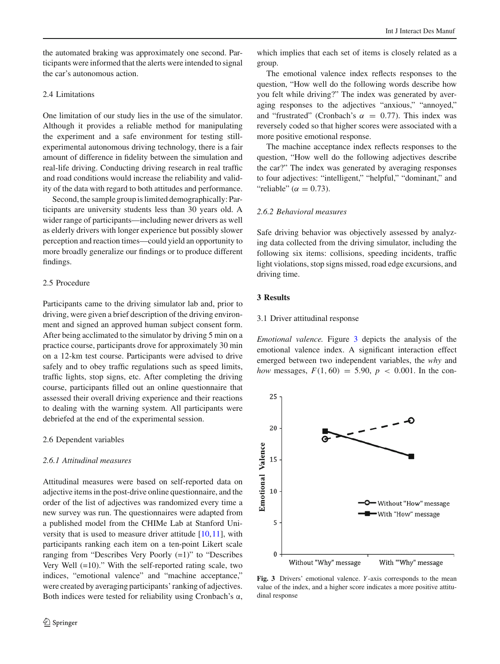the automated braking was approximately one second. Participants were informed that the alerts were intended to signal the car's autonomous action.

# 2.4 Limitations

One limitation of our study lies in the use of the simulator. Although it provides a reliable method for manipulating the experiment and a safe environment for testing stillexperimental autonomous driving technology, there is a fair amount of difference in fidelity between the simulation and real-life driving. Conducting driving research in real traffic and road conditions would increase the reliability and validity of the data with regard to both attitudes and performance.

Second, the sample group is limited demographically: Participants are university students less than 30 years old. A wider range of participants—including newer drivers as well as elderly drivers with longer experience but possibly slower perception and reaction times—could yield an opportunity to more broadly generalize our findings or to produce different findings.

# 2.5 Procedure

Participants came to the driving simulator lab and, prior to driving, were given a brief description of the driving environment and signed an approved human subject consent form. After being acclimated to the simulator by driving 5 min on a practice course, participants drove for approximately 30 min on a 12-km test course. Participants were advised to drive safely and to obey traffic regulations such as speed limits, traffic lights, stop signs, etc. After completing the driving course, participants filled out an online questionnaire that assessed their overall driving experience and their reactions to dealing with the warning system. All participants were debriefed at the end of the experimental session.

#### 2.6 Dependent variables

# *2.6.1 Attitudinal measures*

Attitudinal measures were based on self-reported data on adjective items in the post-drive online questionnaire, and the order of the list of adjectives was randomized every time a new survey was run. The questionnaires were adapted from a published model from the CHIMe Lab at Stanford University that is used to measure driver attitude [\[10](#page-6-8),[11\]](#page-6-9), with participants ranking each item on a ten-point Likert scale ranging from "Describes Very Poorly (=1)" to "Describes Very Well  $(=10)$ ." With the self-reported rating scale, two indices, "emotional valence" and "machine acceptance," were created by averaging participants' ranking of adjectives. Both indices were tested for reliability using Cronbach's  $\alpha$ ,

which implies that each set of items is closely related as a group.

The emotional valence index reflects responses to the question, "How well do the following words describe how you felt while driving?" The index was generated by averaging responses to the adjectives "anxious," "annoyed," and "frustrated" (Cronbach's  $\alpha = 0.77$ ). This index was reversely coded so that higher scores were associated with a more positive emotional response.

The machine acceptance index reflects responses to the question, "How well do the following adjectives describe the car?" The index was generated by averaging responses to four adjectives: "intelligent," "helpful," "dominant," and "reliable" ( $\alpha = 0.73$ ).

# *2.6.2 Behavioral measures*

Safe driving behavior was objectively assessed by analyzing data collected from the driving simulator, including the following six items: collisions, speeding incidents, traffic light violations, stop signs missed, road edge excursions, and driving time.

# **3 Results**

#### 3.1 Driver attitudinal response

*Emotional valence.* Figure [3](#page-3-0) depicts the analysis of the emotional valence index. A significant interaction effect emerged between two independent variables, the *why* and *how* messages,  $F(1, 60) = 5.90, p < 0.001$ . In the con-



<span id="page-3-0"></span>**Fig. 3** Drivers' emotional valence. *Y* -axis corresponds to the mean value of the index, and a higher score indicates a more positive attitudinal response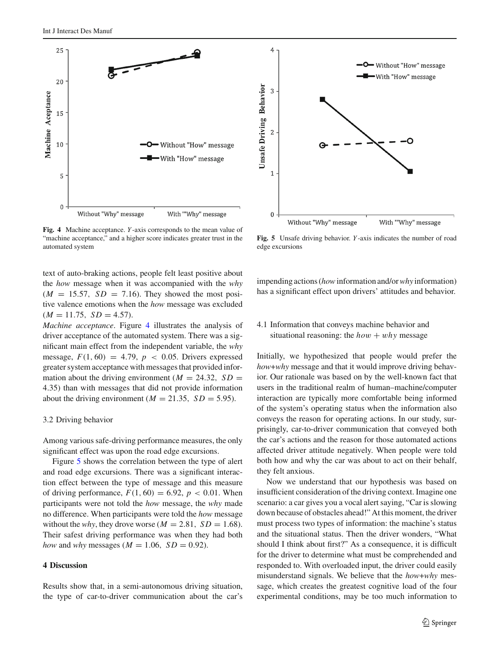

<span id="page-4-0"></span>**Fig. 4** Machine acceptance. *Y* -axis corresponds to the mean value of "machine acceptance," and a higher score indicates greater trust in the automated system

text of auto-braking actions, people felt least positive about the *how* message when it was accompanied with the *why*  $(M = 15.57, SD = 7.16)$ . They showed the most positive valence emotions when the *how* message was excluded  $(M = 11.75, SD = 4.57).$ 

*Machine acceptance*. Figure [4](#page-4-0) illustrates the analysis of driver acceptance of the automated system. There was a significant main effect from the independent variable, the *why* message,  $F(1, 60) = 4.79$ ,  $p < 0.05$ . Drivers expressed greater system acceptance with messages that provided information about the driving environment ( $M = 24.32$ ,  $SD =$ 4.35) than with messages that did not provide information about the driving environment ( $M = 21.35$ ,  $SD = 5.95$ ).

#### 3.2 Driving behavior

Among various safe-driving performance measures, the only significant effect was upon the road edge excursions.

Figure [5](#page-4-1) shows the correlation between the type of alert and road edge excursions. There was a significant interaction effect between the type of message and this measure of driving performance,  $F(1, 60) = 6.92$ ,  $p < 0.01$ . When participants were not told the *how* message, the *why* made no difference. When participants were told the *how* message without the *why*, they drove worse ( $M = 2.81$ ,  $SD = 1.68$ ). Their safest driving performance was when they had both *how* and *why* messages ( $M = 1.06$ ,  $SD = 0.92$ ).

# **4 Discussion**

Results show that, in a semi-autonomous driving situation, the type of car-to-driver communication about the car's



<span id="page-4-1"></span>**Fig. 5** Unsafe driving behavior. *Y* -axis indicates the number of road edge excursions

impending actions (*how*information and/or*why* information) has a significant effect upon drivers' attitudes and behavior.

# 4.1 Information that conveys machine behavior and situational reasoning: the  $how + why$  message

Initially, we hypothesized that people would prefer the *how*+*why* message and that it would improve driving behavior. Our rationale was based on by the well-known fact that users in the traditional realm of human–machine/computer interaction are typically more comfortable being informed of the system's operating status when the information also conveys the reason for operating actions. In our study, surprisingly, car-to-driver communication that conveyed both the car's actions and the reason for those automated actions affected driver attitude negatively. When people were told both how and why the car was about to act on their behalf, they felt anxious.

Now we understand that our hypothesis was based on insufficient consideration of the driving context. Imagine one scenario: a car gives you a vocal alert saying, "Car is slowing down because of obstacles ahead!" At this moment, the driver must process two types of information: the machine's status and the situational status. Then the driver wonders, "What should I think about first?" As a consequence, it is difficult for the driver to determine what must be comprehended and responded to. With overloaded input, the driver could easily misunderstand signals. We believe that the *how*+*why* message, which creates the greatest cognitive load of the four experimental conditions, may be too much information to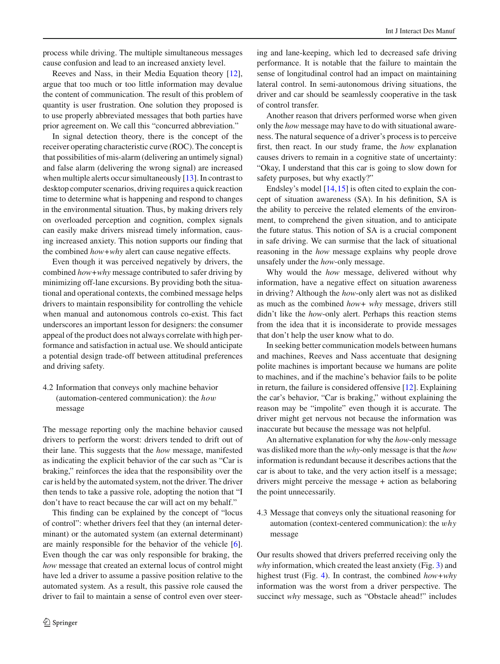process while driving. The multiple simultaneous messages cause confusion and lead to an increased anxiety level.

Reeves and Nass, in their Media Equation theory [\[12](#page-6-10)], argue that too much or too little information may devalue the content of communication. The result of this problem of quantity is user frustration. One solution they proposed is to use properly abbreviated messages that both parties have prior agreement on. We call this "concurred abbreviation."

In signal detection theory, there is the concept of the receiver operating characteristic curve (ROC). The concept is that possibilities of mis-alarm (delivering an untimely signal) and false alarm (delivering the wrong signal) are increased when multiple alerts occur simultaneously [\[13](#page-6-11)]. In contrast to desktop computer scenarios, driving requires a quick reaction time to determine what is happening and respond to changes in the environmental situation. Thus, by making drivers rely on overloaded perception and cognition, complex signals can easily make drivers misread timely information, causing increased anxiety. This notion supports our finding that the combined *how+why* alert can cause negative effects.

Even though it was perceived negatively by drivers, the combined *how+why* message contributed to safer driving by minimizing off-lane excursions. By providing both the situational and operational contexts, the combined message helps drivers to maintain responsibility for controlling the vehicle when manual and autonomous controls co-exist. This fact underscores an important lesson for designers: the consumer appeal of the product does not always correlate with high performance and satisfaction in actual use. We should anticipate a potential design trade-off between attitudinal preferences and driving safety.

4.2 Information that conveys only machine behavior (automation-centered communication): the *ho*w message

The message reporting only the machine behavior caused drivers to perform the worst: drivers tended to drift out of their lane. This suggests that the *how* message, manifested as indicating the explicit behavior of the car such as "Car is braking," reinforces the idea that the responsibility over the car is held by the automated system, not the driver. The driver then tends to take a passive role, adopting the notion that "I don't have to react because the car will act on my behalf."

This finding can be explained by the concept of "locus of control": whether drivers feel that they (an internal determinant) or the automated system (an external determinant) are mainly responsible for the behavior of the vehicle [\[6](#page-6-5)]. Even though the car was only responsible for braking, the *how* message that created an external locus of control might have led a driver to assume a passive position relative to the automated system. As a result, this passive role caused the driver to fail to maintain a sense of control even over steering and lane-keeping, which led to decreased safe driving performance. It is notable that the failure to maintain the sense of longitudinal control had an impact on maintaining lateral control. In semi-autonomous driving situations, the driver and car should be seamlessly cooperative in the task of control transfer.

Another reason that drivers performed worse when given only the *how* message may have to do with situational awareness. The natural sequence of a driver's process is to perceive first, then react. In our study frame, the *how* explanation causes drivers to remain in a cognitive state of uncertainty: "Okay, I understand that this car is going to slow down for safety purposes, but why exactly?"

Endsley's model [\[14,](#page-6-12)[15\]](#page-6-13) is often cited to explain the concept of situation awareness (SA). In his definition, SA is the ability to perceive the related elements of the environment, to comprehend the given situation, and to anticipate the future status. This notion of SA is a crucial component in safe driving. We can surmise that the lack of situational reasoning in the *how* message explains why people drove unsafely under the *how*-only message.

Why would the *how* message, delivered without why information, have a negative effect on situation awareness in driving? Although the *how*-only alert was not as disliked as much as the combined *how+ why* message, drivers still didn't like the *how*-only alert. Perhaps this reaction stems from the idea that it is inconsiderate to provide messages that don't help the user know what to do.

In seeking better communication models between humans and machines, Reeves and Nass accentuate that designing polite machines is important because we humans are polite to machines, and if the machine's behavior fails to be polite in return, the failure is considered offensive [\[12\]](#page-6-10). Explaining the car's behavior, "Car is braking," without explaining the reason may be "impolite" even though it is accurate. The driver might get nervous not because the information was inaccurate but because the message was not helpful.

An alternative explanation for why the *how*-only message was disliked more than the *why*-only message is that the *how* information is redundant because it describes actions that the car is about to take, and the very action itself is a message; drivers might perceive the message + action as belaboring the point unnecessarily.

4.3 Message that conveys only the situational reasoning for automation (context-centered communication): the w*hy* message

Our results showed that drivers preferred receiving only the *why* information, which created the least anxiety (Fig. [3\)](#page-3-0) and highest trust (Fig. [4\)](#page-4-0). In contrast, the combined *how+why* information was the worst from a driver perspective. The succinct *why* message, such as "Obstacle ahead!" includes